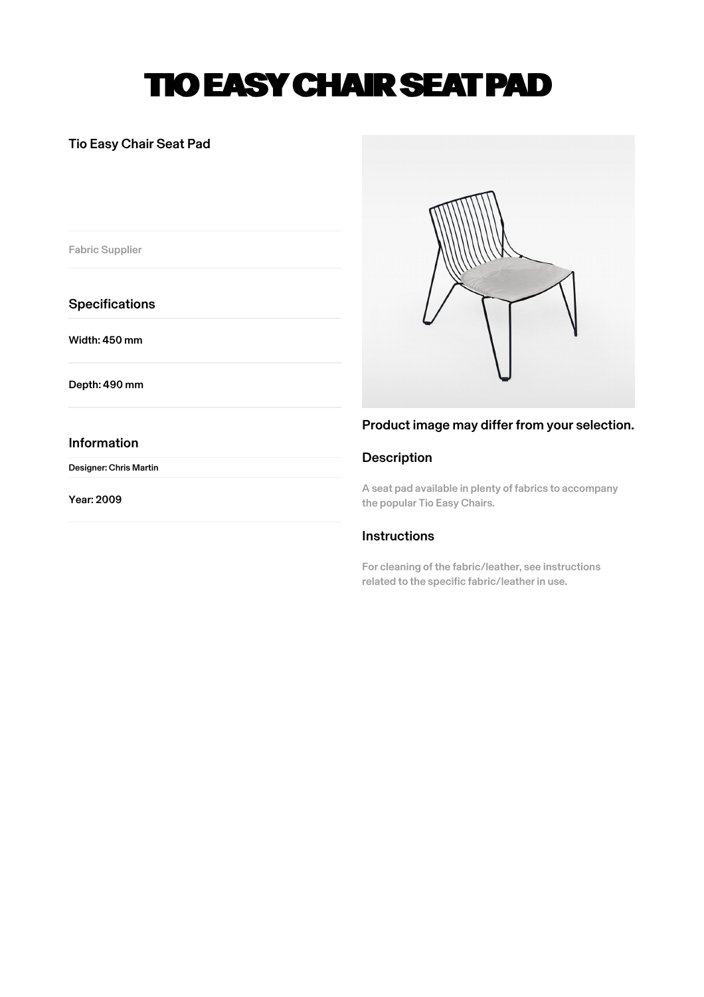# TIO EASY CHAIR SEAT PAD

## Tio Easy Chair Seat Pad

Fabric Supplier

**Specifications** 

Width: 450 mm

Depth: 490 mm

### Information

Designer: Chris Martin

Year: 2009



## Product image may differ from your selection.

## Description

A seat pad available in plenty of fabrics to accompany the popular Tio Easy Chairs.

## **Instructions**

For cleaning of the fabric/leather, see instructions related to the specific fabric/leather in use.